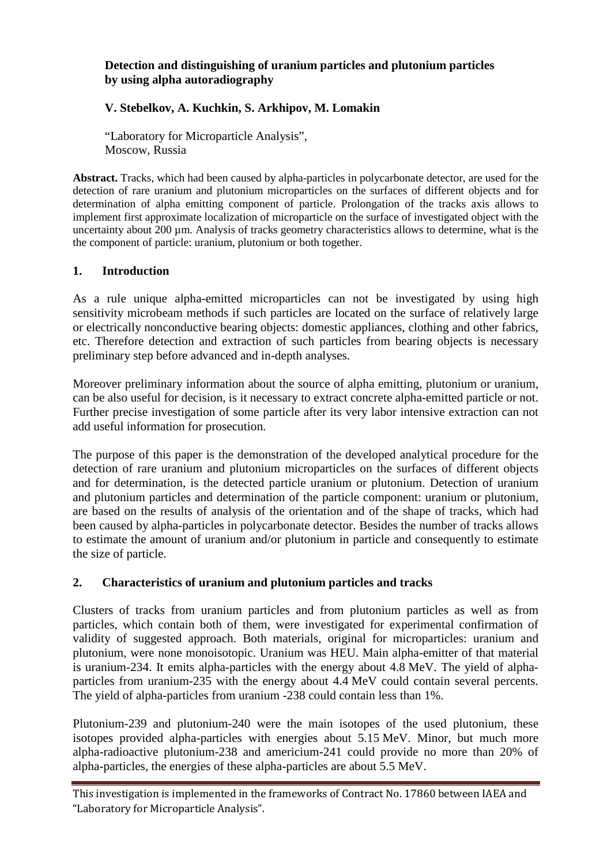## **Detection and distinguishing of uranium particles and plutonium particles by using alpha autoradiography**

# **V. Stebelkov, A. Kuchkin, S. Arkhipov, M. Lomakin**

"Laboratory for Microparticle Analysis", Moscow, Russia

**Abstract.** Tracks, which had been caused by alpha-particles in polycarbonate detector, are used for the detection of rare uranium and plutonium microparticles on the surfaces of different objects and for determination of alpha emitting component of particle. Prolongation of the tracks axis allows to implement first approximate localization of microparticle on the surface of investigated object with the uncertainty about 200 µm. Analysis of tracks geometry characteristics allows to determine, what is the the component of particle: uranium, plutonium or both together.

## **1. Introduction**

As a rule unique alpha-emitted microparticles can not be investigated by using high sensitivity microbeam methods if such particles are located on the surface of relatively large or electrically nonconductive bearing objects: domestic appliances, clothing and other fabrics, etc. Therefore detection and extraction of such particles from bearing objects is necessary preliminary step before advanced and in-depth analyses.

Moreover preliminary information about the source of alpha emitting, plutonium or uranium, can be also useful for decision, is it necessary to extract concrete alpha-emitted particle or not. Further precise investigation of some particle after its very labor intensive extraction can not add useful information for prosecution.

The purpose of this paper is the demonstration of the developed analytical procedure for the detection of rare uranium and plutonium microparticles on the surfaces of different objects and for determination, is the detected particle uranium or plutonium. Detection of uranium and plutonium particles and determination of the particle component: uranium or plutonium, are based on the results of analysis of the orientation and of the shape of tracks, which had been caused by alpha-particles in polycarbonate detector. Besides the number of tracks allows to estimate the amount of uranium and/or plutonium in particle and consequently to estimate the size of particle.

## **2. Characteristics of uranium and plutonium particles and tracks**

Clusters of tracks from uranium particles and from plutonium particles as well as from particles, which contain both of them, were investigated for experimental confirmation of validity of suggested approach. Both materials, original for microparticles: uranium and plutonium, were none monoisotopic. Uranium was HEU. Main alpha-emitter of that material is uranium-234. It emits alpha-particles with the energy about 4.8 MeV. The yield of alphaparticles from uranium-235 with the energy about 4.4 MeV could contain several percents. The yield of alpha-particles from uranium -238 could contain less than 1%.

Plutonium-239 and plutonium-240 were the main isotopes of the used plutonium, these isotopes provided alpha-particles with energies about 5.15 MeV. Minor, but much more alpha-radioactive plutonium-238 and americium-241 could provide no more than 20% of alpha-particles, the energies of these alpha-particles are about 5.5 MeV.

This investigation is implemented in the frameworks of Contract No. 17860 between IAEA and "Laboratory for Microparticle Analysis".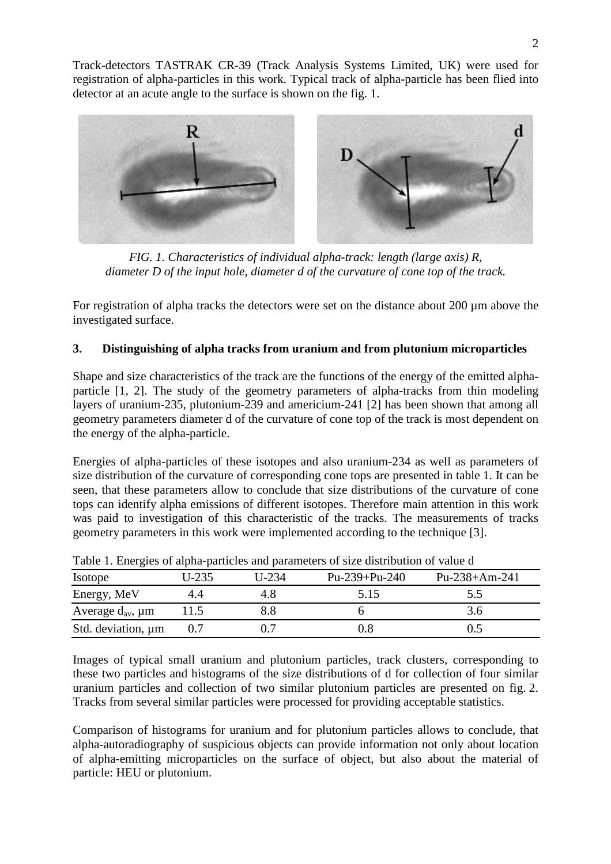Track-detectors TASTRAK CR-39 (Track Analysis Systems Limited, UK) were used for registration of alpha-particles in this work. Typical track of alpha-particle has been flied into detector at an acute angle to the surface is shown on the fig. 1.



*FIG. 1. Characteristics of individual alpha-track: length (large axis) R, diameter D of the input hole, diameter d of the curvature of cone top of the track.* 

For registration of alpha tracks the detectors were set on the distance about 200 µm above the investigated surface.

# **3. Distinguishing of alpha tracks from uranium and from plutonium microparticles**

Shape and size characteristics of the track are the functions of the energy of the emitted alphaparticle [1, 2]. The study of the geometry parameters of alpha-tracks from thin modeling layers of uranium-235, plutonium-239 and americium-241 [2] has been shown that among all geometry parameters diameter d of the curvature of cone top of the track is most dependent on the energy of the alpha-particle.

Energies of alpha-particles of these isotopes and also uranium-234 as well as parameters of size distribution of the curvature of corresponding cone tops are presented in table 1. It can be seen, that these parameters allow to conclude that size distributions of the curvature of cone tops can identify alpha emissions of different isotopes. Therefore main attention in this work was paid to investigation of this characteristic of the tracks. The measurements of tracks geometry parameters in this work were implemented according to the technique [3].

| ----- <i>--</i> -------    |         |         |                 |               |
|----------------------------|---------|---------|-----------------|---------------|
| Isotope                    | $U-235$ | $U-234$ | $Pu-239+Pu-240$ | Pu-238+Am-241 |
| Energy, MeV                |         |         | 5.15            | 3.J           |
| Average $d_{av}$ , $\mu$ m |         |         |                 |               |
| Std. deviation, $\mu$ m    |         |         |                 |               |

Table 1. Energies of alpha-particles and parameters of size distribution of value d

Images of typical small uranium and plutonium particles, track clusters, corresponding to these two particles and histograms of the size distributions of d for collection of four similar uranium particles and collection of two similar plutonium particles are presented on fig. 2. Tracks from several similar particles were processed for providing acceptable statistics.

Comparison of histograms for uranium and for plutonium particles allows to conclude, that alpha-autoradiography of suspicious objects can provide information not only about location of alpha-emitting microparticles on the surface of object, but also about the material of particle: HEU or plutonium.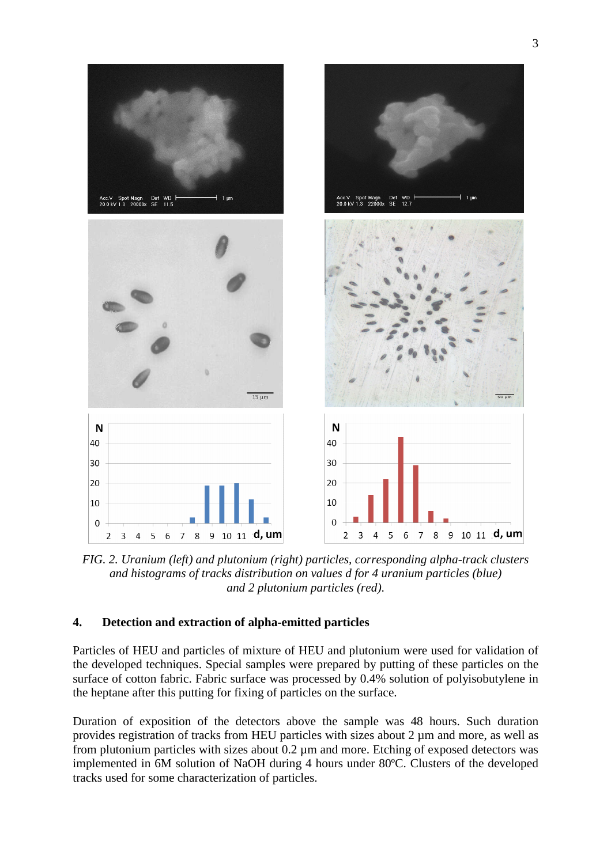

*FIG. 2. Uranium (left) and plutonium (right) particles, corresponding alpha-track clusters and histograms of tracks distribution on values d for 4 uranium particles (blue) and 2 plutonium particles (red)*.

## **4. Detection and extraction of alpha-emitted particles**

Particles of HEU and particles of mixture of HEU and plutonium were used for validation of the developed techniques. Special samples were prepared by putting of these particles on the surface of cotton fabric. Fabric surface was processed by 0.4% solution of polyisobutylene in the heptane after this putting for fixing of particles on the surface.

Duration of exposition of the detectors above the sample was 48 hours. Such duration provides registration of tracks from HEU particles with sizes about 2 µm and more, as well as from plutonium particles with sizes about 0.2 µm and more. Etching of exposed detectors was implemented in 6M solution of NaOH during 4 hours under 80ºC. Clusters of the developed tracks used for some characterization of particles.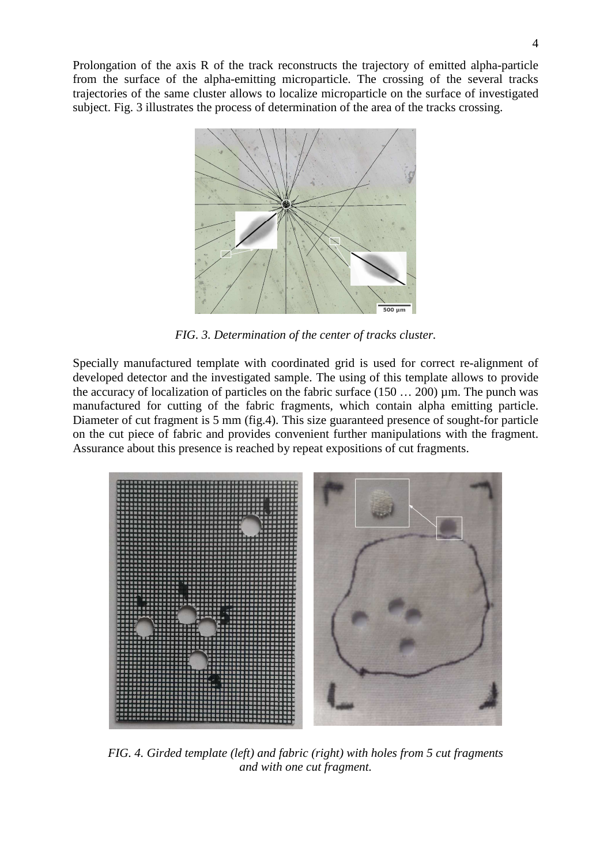Prolongation of the axis R of the track reconstructs the trajectory of emitted alpha-particle from the surface of the alpha-emitting microparticle. The crossing of the several tracks trajectories of the same cluster allows to localize microparticle on the surface of investigated subject. Fig. 3 illustrates the process of determination of the area of the tracks crossing.



*FIG. 3. Determination of the center of tracks cluster.* 

Specially manufactured template with coordinated grid is used for correct re-alignment of developed detector and the investigated sample. The using of this template allows to provide the accuracy of localization of particles on the fabric surface  $(150... 200)$  µm. The punch was manufactured for cutting of the fabric fragments, which contain alpha emitting particle. Diameter of cut fragment is 5 mm (fig.4). This size guaranteed presence of sought-for particle on the cut piece of fabric and provides convenient further manipulations with the fragment. Assurance about this presence is reached by repeat expositions of cut fragments.



*FIG. 4. Girded template (left) and fabric (right) with holes from 5 cut fragments and with one cut fragment.*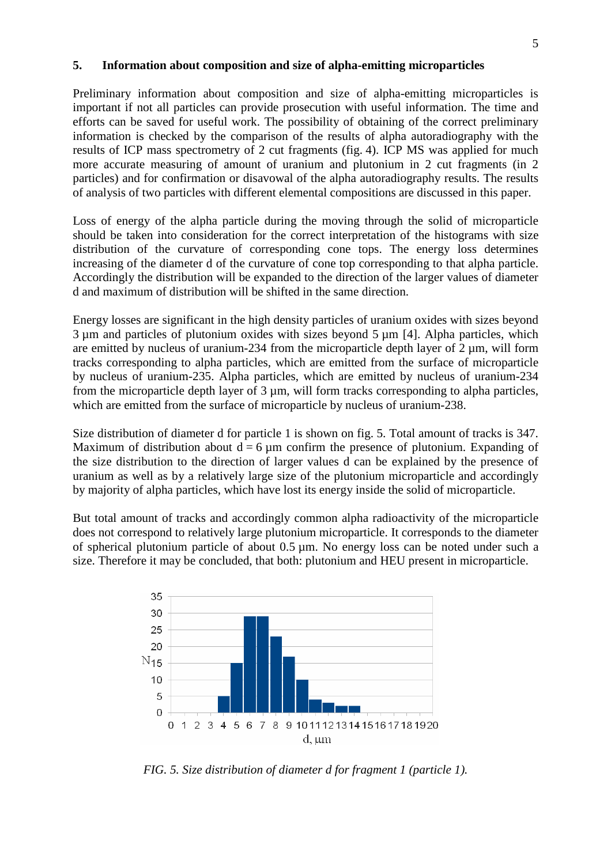#### **5. Information about composition and size of alpha-emitting microparticles**

Preliminary information about composition and size of alpha-emitting microparticles is important if not all particles can provide prosecution with useful information. The time and efforts can be saved for useful work. The possibility of obtaining of the correct preliminary information is checked by the comparison of the results of alpha autoradiography with the results of ICP mass spectrometry of 2 cut fragments (fig. 4). ICP MS was applied for much more accurate measuring of amount of uranium and plutonium in 2 cut fragments (in 2 particles) and for confirmation or disavowal of the alpha autoradiography results. The results of analysis of two particles with different elemental compositions are discussed in this paper.

Loss of energy of the alpha particle during the moving through the solid of microparticle should be taken into consideration for the correct interpretation of the histograms with size distribution of the curvature of corresponding cone tops. The energy loss determines increasing of the diameter d of the curvature of cone top corresponding to that alpha particle. Accordingly the distribution will be expanded to the direction of the larger values of diameter d and maximum of distribution will be shifted in the same direction.

Energy losses are significant in the high density particles of uranium oxides with sizes beyond  $3 \mu$ m and particles of plutonium oxides with sizes beyond  $5 \mu$ m [4]. Alpha particles, which are emitted by nucleus of uranium-234 from the microparticle depth layer of  $2 \mu$ m, will form tracks corresponding to alpha particles, which are emitted from the surface of microparticle by nucleus of uranium-235. Alpha particles, which are emitted by nucleus of uranium-234 from the microparticle depth layer of  $3 \mu m$ , will form tracks corresponding to alpha particles, which are emitted from the surface of microparticle by nucleus of uranium-238.

Size distribution of diameter d for particle 1 is shown on fig. 5. Total amount of tracks is 347. Maximum of distribution about  $d = 6 \mu m$  confirm the presence of plutonium. Expanding of the size distribution to the direction of larger values d can be explained by the presence of uranium as well as by a relatively large size of the plutonium microparticle and accordingly by majority of alpha particles, which have lost its energy inside the solid of microparticle.

But total amount of tracks and accordingly common alpha radioactivity of the microparticle does not correspond to relatively large plutonium microparticle. It corresponds to the diameter of spherical plutonium particle of about 0.5 µm. No energy loss can be noted under such a size. Therefore it may be concluded, that both: plutonium and HEU present in microparticle.



*FIG. 5. Size distribution of diameter d for fragment 1 (particle 1).*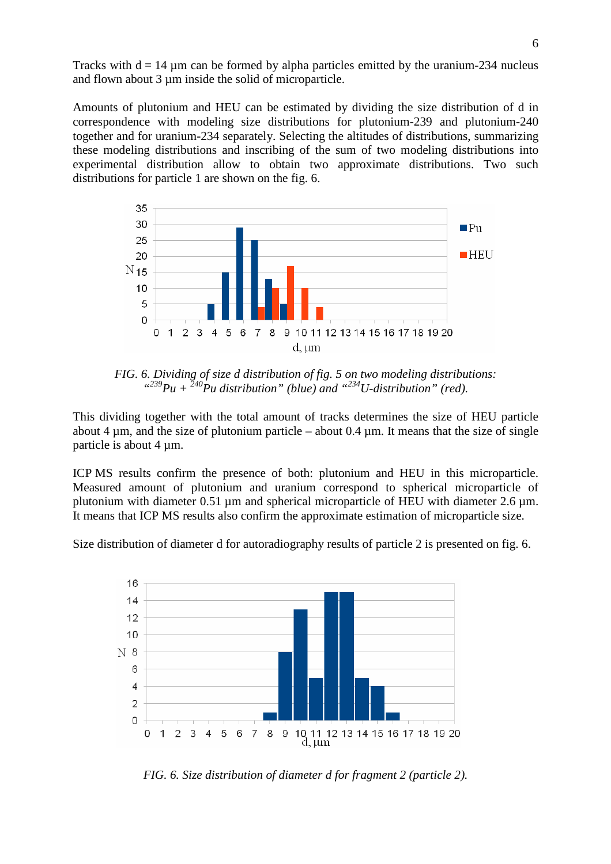Tracks with  $d = 14 \mu m$  can be formed by alpha particles emitted by the uranium-234 nucleus and flown about 3  $\mu$ m inside the solid of microparticle.

Amounts of plutonium and HEU can be estimated by dividing the size distribution of d in correspondence with modeling size distributions for plutonium-239 and plutonium-240 together and for uranium-234 separately. Selecting the altitudes of distributions, summarizing these modeling distributions and inscribing of the sum of two modeling distributions into experimental distribution allow to obtain two approximate distributions. Two such distributions for particle 1 are shown on the fig. 6.



*FIG. 6. Dividing of size d distribution of fig. 5 on two modeling distributions:*   $^{(239}Pu + ^{240}Pu$  distribution" (blue) and  $^{(234}U$ -distribution" (red).

This dividing together with the total amount of tracks determines the size of HEU particle about 4  $\mu$ m, and the size of plutonium particle – about 0.4  $\mu$ m. It means that the size of single particle is about  $4 \mu m$ .

ICP MS results confirm the presence of both: plutonium and HEU in this microparticle. Measured amount of plutonium and uranium correspond to spherical microparticle of plutonium with diameter 0.51 µm and spherical microparticle of HEU with diameter 2.6 µm. It means that ICP MS results also confirm the approximate estimation of microparticle size.

Size distribution of diameter d for autoradiography results of particle 2 is presented on fig. 6.



*FIG. 6. Size distribution of diameter d for fragment 2 (particle 2).*